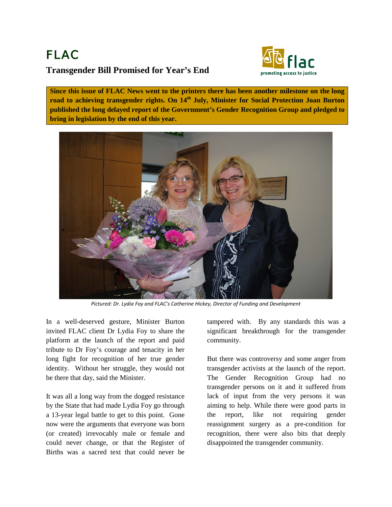## FLAC **Transgender Bill Promised for Year's End**



**Since this issue of FLAC News went to the printers there has been another milestone on the long road to achieving transgender rights. On 14th July, Minister for Social Protection Joan Burton published the long delayed report of the Government's Gender Recognition Group and pledged to bring in legislation by the end of this year.**



*Pictured: Dr. Lydia Foy and FLAC's Catherine Hickey, Director of Funding and Development*

In a well-deserved gesture, Minister Burton invited FLAC client Dr Lydia Foy to share the platform at the launch of the report and paid tribute to Dr Foy's courage and tenacity in her long fight for recognition of her true gender identity. Without her struggle, they would not be there that day, said the Minister.

It was all a long way from the dogged resistance by the State that had made Lydia Foy go through a 13-year legal battle to get to this point. Gone now were the arguments that everyone was born (or created) irrevocably male or female and could never change, or that the Register of Births was a sacred text that could never be

tampered with. By any standards this was a significant breakthrough for the transgender community.

But there was controversy and some anger from transgender activists at the launch of the report. The Gender Recognition Group had no transgender persons on it and it suffered from lack of input from the very persons it was aiming to help. While there were good parts in the report, like not requiring gender reassignment surgery as a pre-condition for recognition, there were also bits that deeply disappointed the transgender community.